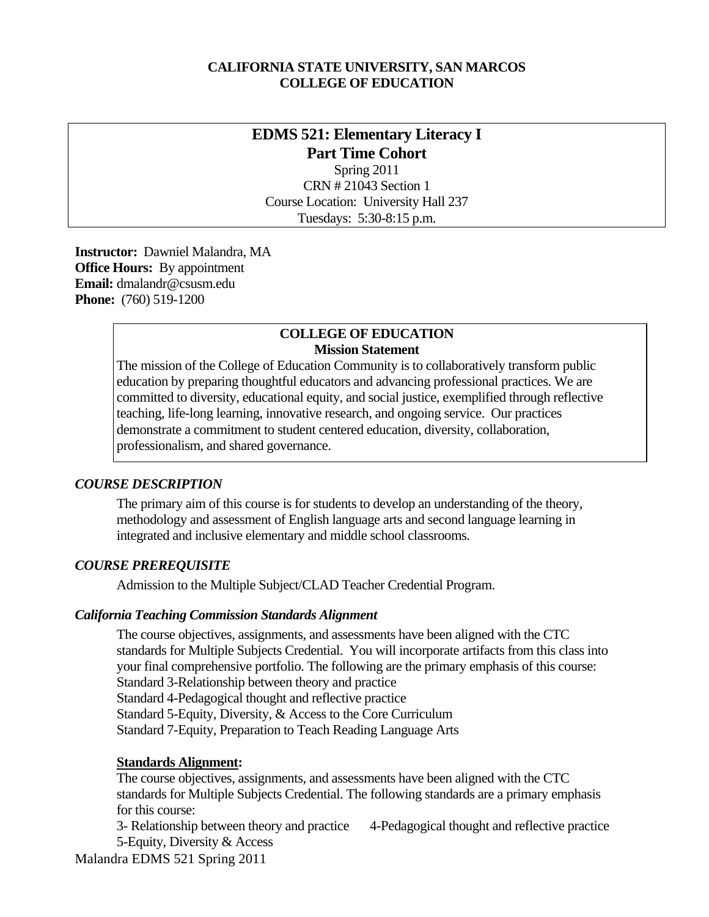### **CALIFORNIA STATE UNIVERSITY, SAN MARCOS COLLEGE OF EDUCATION**

# **EDMS 521: Elementary Literacy I Part Time Cohort**

Spring 2011 CRN # 21043 Section 1 Course Location: University Hall 237 Tuesdays: 5:30-8:15 p.m.

 **Instructor:** Dawniel Malandra, MA **Office Hours:** By appointment  **Email:** dmalandr@csusm.edu **Phone:** (760) 519-1200

#### **COLLEGE OF EDUCATION Mission Statement**

The mission of the College of Education Community is to collaboratively transform public education by preparing thoughtful educators and advancing professional practices. We are committed to diversity, educational equity, and social justice, exemplified through reflective teaching, life-long learning, innovative research, and ongoing service. Our practices demonstrate a commitment to student centered education, diversity, collaboration, professionalism, and shared governance.

## *COURSE DESCRIPTION*

The primary aim of this course is for students to develop an understanding of the theory, methodology and assessment of English language arts and second language learning in integrated and inclusive elementary and middle school classrooms.

### *COURSE PREREQUISITE*

Admission to the Multiple Subject/CLAD Teacher Credential Program.

### *California Teaching Commission Standards Alignment*

The course objectives, assignments, and assessments have been aligned with the CTC standards for Multiple Subjects Credential. You will incorporate artifacts from this class into your final comprehensive portfolio. The following are the primary emphasis of this course: Standard 3-Relationship between theory and practice Standard 4-Pedagogical thought and reflective practice

Standard 5-Equity, Diversity, & Access to the Core Curriculum

Standard 7-Equity, Preparation to Teach Reading Language Arts

### **Standards Alignment:**

The course objectives, assignments, and assessments have been aligned with the CTC standards for Multiple Subjects Credential. The following standards are a primary emphasis for this course:

5-Equity, Diversity & Access 3- Relationship between theory and practice 4-Pedagogical thought and reflective practice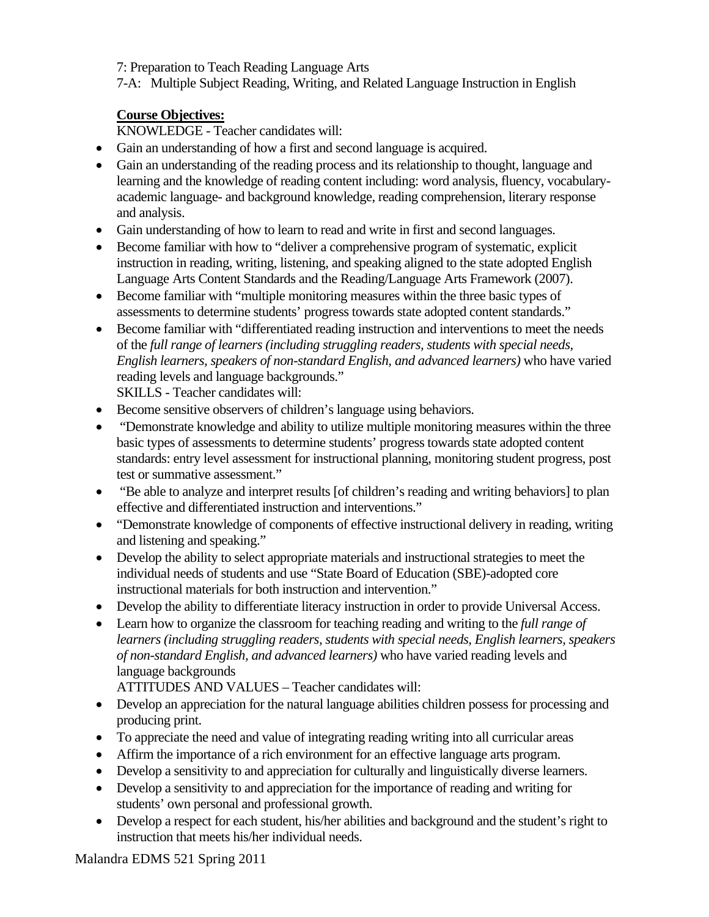7: Preparation to Teach Reading Language Arts

7-A: Multiple Subject Reading, Writing, and Related Language Instruction in English

## **Course Objectives:**

KNOWLEDGE - Teacher candidates will:

- Gain an understanding of how a first and second language is acquired.
- and analysis. Gain an understanding of the reading process and its relationship to thought, language and learning and the knowledge of reading content including: word analysis, fluency, vocabularyacademic language- and background knowledge, reading comprehension, literary response
- Gain understanding of how to learn to read and write in first and second languages.
- Become familiar with how to "deliver a comprehensive program of systematic, explicit instruction in reading, writing, listening, and speaking aligned to the state adopted English Language Arts Content Standards and the Reading/Language Arts Framework (2007).
- Become familiar with "multiple monitoring measures within the three basic types of assessments to determine students' progress towards state adopted content standards."
- Become familiar with "differentiated reading instruction and interventions to meet the needs of the *full range of learners (including struggling readers, students with special needs, English learners, speakers of non-standard English, and advanced learners)* who have varied reading levels and language backgrounds." SKILLS - Teacher candidates will:
- Become sensitive observers of children's language using behaviors.
- "Demonstrate knowledge and ability to utilize multiple monitoring measures within the three basic types of assessments to determine students' progress towards state adopted content standards: entry level assessment for instructional planning, monitoring student progress, post test or summative assessment."
- "Be able to analyze and interpret results [of children's reading and writing behaviors] to plan effective and differentiated instruction and interventions."
- "Demonstrate knowledge of components of effective instructional delivery in reading, writing and listening and speaking."
- Develop the ability to select appropriate materials and instructional strategies to meet the individual needs of students and use "State Board of Education (SBE)-adopted core instructional materials for both instruction and intervention."
- Develop the ability to differentiate literacy instruction in order to provide Universal Access.
- Learn how to organize the classroom for teaching reading and writing to the *full range of learners (including struggling readers, students with special needs, English learners, speakers of non-standard English, and advanced learners)* who have varied reading levels and language backgrounds

ATTITUDES AND VALUES – Teacher candidates will:

- Develop an appreciation for the natural language abilities children possess for processing and producing print.
- To appreciate the need and value of integrating reading writing into all curricular areas
- Affirm the importance of a rich environment for an effective language arts program.
- Develop a sensitivity to and appreciation for culturally and linguistically diverse learners.
- Develop a sensitivity to and appreciation for the importance of reading and writing for students' own personal and professional growth.
- Develop a respect for each student, his/her abilities and background and the student's right to instruction that meets his/her individual needs.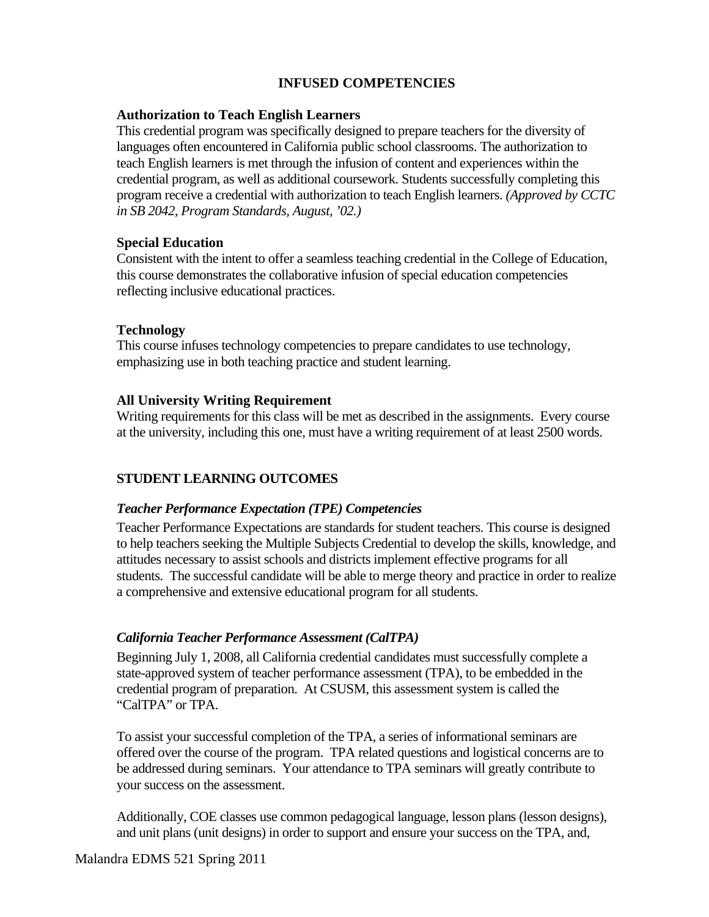## **INFUSED COMPETENCIES**

### **Authorization to Teach English Learners**

This credential program was specifically designed to prepare teachers for the diversity of languages often encountered in California public school classrooms. The authorization to teach English learners is met through the infusion of content and experiences within the credential program, as well as additional coursework. Students successfully completing this program receive a credential with authorization to teach English learners. *(Approved by CCTC in SB 2042, Program Standards, August, '02.)* 

### **Special Education**

Consistent with the intent to offer a seamless teaching credential in the College of Education, this course demonstrates the collaborative infusion of special education competencies reflecting inclusive educational practices.

### **Technology**

This course infuses technology competencies to prepare candidates to use technology, emphasizing use in both teaching practice and student learning.

### **All University Writing Requirement**

Writing requirements for this class will be met as described in the assignments. Every course at the university, including this one, must have a writing requirement of at least 2500 words.

## **STUDENT LEARNING OUTCOMES**

### *Teacher Performance Expectation (TPE) Competencies*

Teacher Performance Expectations are standards for student teachers. This course is designed to help teachers seeking the Multiple Subjects Credential to develop the skills, knowledge, and attitudes necessary to assist schools and districts implement effective programs for all students. The successful candidate will be able to merge theory and practice in order to realize a comprehensive and extensive educational program for all students.

## *California Teacher Performance Assessment (CalTPA)*

Beginning July 1, 2008, all California credential candidates must successfully complete a state-approved system of teacher performance assessment (TPA), to be embedded in the credential program of preparation. At CSUSM, this assessment system is called the "CalTPA" or TPA.

To assist your successful completion of the TPA, a series of informational seminars are offered over the course of the program. TPA related questions and logistical concerns are to be addressed during seminars. Your attendance to TPA seminars will greatly contribute to your success on the assessment.

Additionally, COE classes use common pedagogical language, lesson plans (lesson designs), and unit plans (unit designs) in order to support and ensure your success on the TPA, and,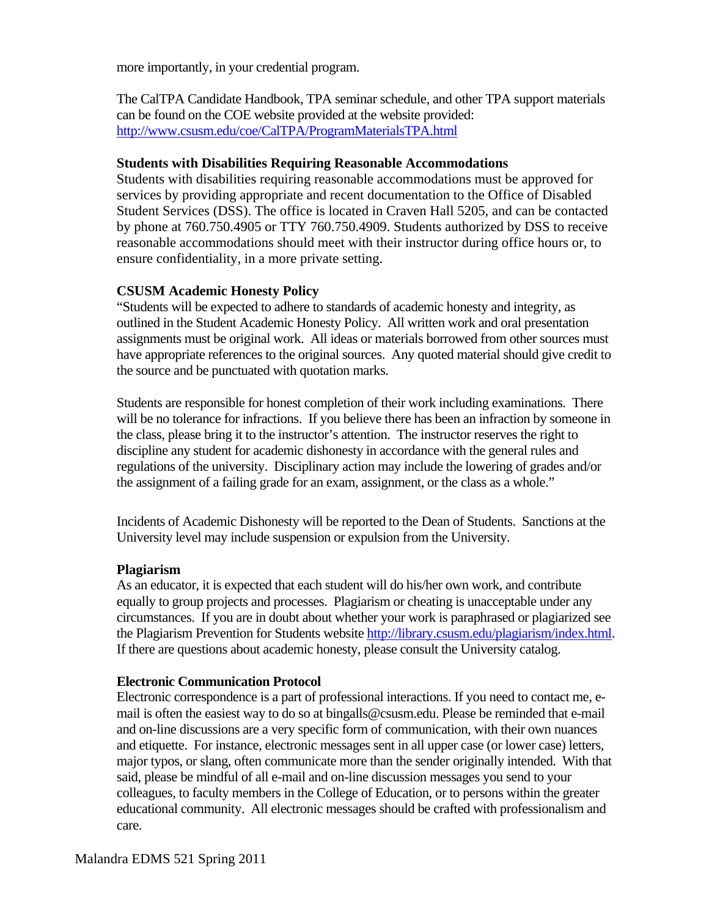more importantly, in your credential program.

The CalTPA Candidate Handbook, TPA seminar schedule, and other TPA support materials can be found on the COE website provided at the website provided: http://www.csusm.edu/coe/CalTPA/ProgramMaterialsTPA.html

### **Students with Disabilities Requiring Reasonable Accommodations**

Students with disabilities requiring reasonable accommodations must be approved for services by providing appropriate and recent documentation to the Office of Disabled Student Services (DSS). The office is located in Craven Hall 5205, and can be contacted by phone at 760.750.4905 or TTY 760.750.4909. Students authorized by DSS to receive reasonable accommodations should meet with their instructor during office hours or, to ensure confidentiality, in a more private setting.

## **CSUSM Academic Honesty Policy**

 have appropriate references to the original sources. Any quoted material should give credit to "Students will be expected to adhere to standards of academic honesty and integrity, as outlined in the Student Academic Honesty Policy. All written work and oral presentation assignments must be original work. All ideas or materials borrowed from other sources must the source and be punctuated with quotation marks.

Students are responsible for honest completion of their work including examinations. There will be no tolerance for infractions. If you believe there has been an infraction by someone in the class, please bring it to the instructor's attention. The instructor reserves the right to discipline any student for academic dishonesty in accordance with the general rules and regulations of the university. Disciplinary action may include the lowering of grades and/or the assignment of a failing grade for an exam, assignment, or the class as a whole."

Incidents of Academic Dishonesty will be reported to the Dean of Students. Sanctions at the University level may include suspension or expulsion from the University.

### **Plagiarism**

As an educator, it is expected that each student will do his/her own work, and contribute equally to group projects and processes. Plagiarism or cheating is unacceptable under any circumstances. If you are in doubt about whether your work is paraphrased or plagiarized see the Plagiarism Prevention for Students website http://library.csusm.edu/plagiarism/index.html. If there are questions about academic honesty, please consult the University catalog.

## **Electronic Communication Protocol**

Electronic correspondence is a part of professional interactions. If you need to contact me, email is often the easiest way to do so at bingalls@csusm.edu. Please be reminded that e-mail and on-line discussions are a very specific form of communication, with their own nuances and etiquette. For instance, electronic messages sent in all upper case (or lower case) letters, major typos, or slang, often communicate more than the sender originally intended. With that said, please be mindful of all e-mail and on-line discussion messages you send to your colleagues, to faculty members in the College of Education, or to persons within the greater educational community. All electronic messages should be crafted with professionalism and care.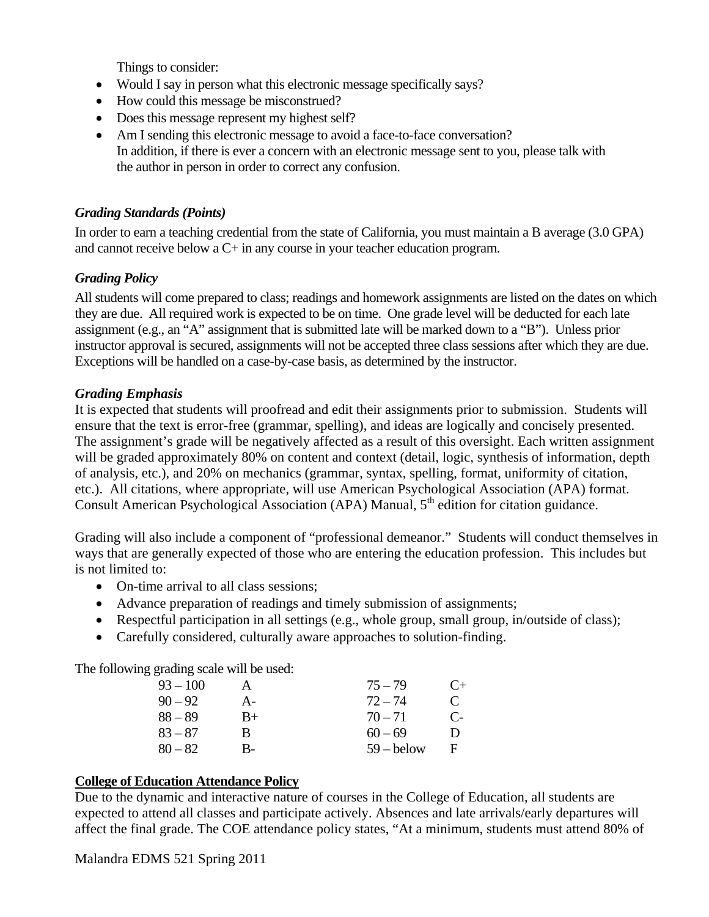Things to consider:

- Would I say in person what this electronic message specifically says?
- How could this message be misconstrued?
- Does this message represent my highest self?
- Am I sending this electronic message to avoid a face-to-face conversation? In addition, if there is ever a concern with an electronic message sent to you, please talk with the author in person in order to correct any confusion.

## *Grading Standards (Points)*

In order to earn a teaching credential from the state of California, you must maintain a B average (3.0 GPA) and cannot receive below a C+ in any course in your teacher education program.

## *Grading Policy*

All students will come prepared to class; readings and homework assignments are listed on the dates on which they are due. All required work is expected to be on time. One grade level will be deducted for each late assignment (e.g., an "A" assignment that is submitted late will be marked down to a "B"). Unless prior instructor approval is secured, assignments will not be accepted three class sessions after which they are due. Exceptions will be handled on a case-by-case basis, as determined by the instructor.

### *Grading Emphasis*

It is expected that students will proofread and edit their assignments prior to submission. Students will ensure that the text is error-free (grammar, spelling), and ideas are logically and concisely presented. The assignment's grade will be negatively affected as a result of this oversight. Each written assignment will be graded approximately 80% on content and context (detail, logic, synthesis of information, depth of analysis, etc.), and 20% on mechanics (grammar, syntax, spelling, format, uniformity of citation, etc.). All citations, where appropriate, will use American Psychological Association (APA) format. Consult American Psychological Association (APA) Manual, 5<sup>th</sup> edition for citation guidance.

Grading will also include a component of "professional demeanor." Students will conduct themselves in ways that are generally expected of those who are entering the education profession. This includes but is not limited to:

- On-time arrival to all class sessions;
- Advance preparation of readings and timely submission of assignments;
- Respectful participation in all settings (e.g., whole group, small group, in/outside of class);
- Carefully considered, culturally aware approaches to solution-finding.

The following grading scale will be used:

| $93 - 100$ |      | $75 - 79$    | $C_{+}$      |
|------------|------|--------------|--------------|
| $90 - 92$  | $A-$ | $72 - 74$    | $\mathbf C$  |
| $88 - 89$  | B+   | $70 - 71$    | $\mathbf{C}$ |
| $83 - 87$  | в    | $60 - 69$    | $\mathbf{D}$ |
| $80 - 82$  | В-   | $59 -$ below | E            |

## **College of Education Attendance Policy**

Due to the dynamic and interactive nature of courses in the College of Education, all students are expected to attend all classes and participate actively. Absences and late arrivals/early departures will affect the final grade. The COE attendance policy states, "At a minimum, students must attend 80% of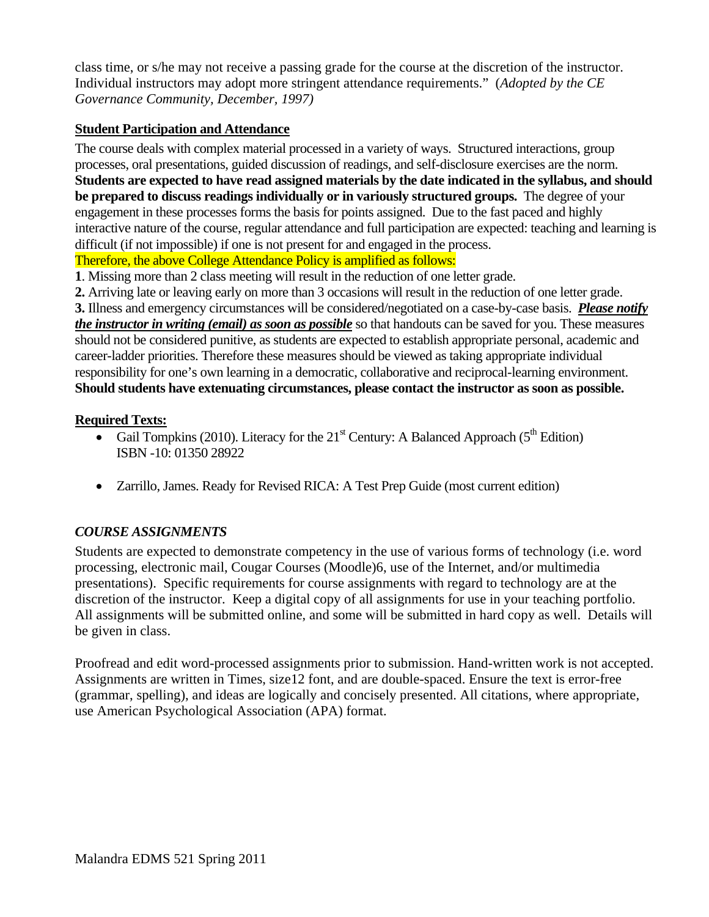class time, or s/he may not receive a passing grade for the course at the discretion of the instructor. Individual instructors may adopt more stringent attendance requirements." (*Adopted by the CE Governance Community, December, 1997)* 

## **Student Participation and Attendance**

The course deals with complex material processed in a variety of ways. Structured interactions, group processes, oral presentations, guided discussion of readings, and self-disclosure exercises are the norm. **Students are expected to have read assigned materials by the date indicated in the syllabus, and should be prepared to discuss readings individually or in variously structured groups.** The degree of your engagement in these processes forms the basis for points assigned. Due to the fast paced and highly interactive nature of the course, regular attendance and full participation are expected: teaching and learning is difficult (if not impossible) if one is not present for and engaged in the process. Therefore, the above College Attendance Policy is amplified as follows:

**1**. Missing more than 2 class meeting will result in the reduction of one letter grade.

 **3.** Illness and emergency circumstances will be considered/negotiated on a case-by-case basis. *Please notify*  **2.** Arriving late or leaving early on more than 3 occasions will result in the reduction of one letter grade. *the instructor in writing (email) as soon as possible* so that handouts can be saved for you. These measures should not be considered punitive, as students are expected to establish appropriate personal, academic and career-ladder priorities. Therefore these measures should be viewed as taking appropriate individual responsibility for one's own learning in a democratic, collaborative and reciprocal-learning environment. **Should students have extenuating circumstances, please contact the instructor as soon as possible.** 

## **Required Texts:**

- Gail Tompkins (2010). Literacy for the  $21<sup>st</sup>$  Century: A Balanced Approach ( $5<sup>th</sup>$  Edition) ISBN -10: 01350 28922
- Zarrillo, James. Ready for Revised RICA: A Test Prep Guide (most current edition)

# *COURSE ASSIGNMENTS*

Students are expected to demonstrate competency in the use of various forms of technology (i.e. word processing, electronic mail, Cougar Courses (Moodle)6, use of the Internet, and/or multimedia presentations). Specific requirements for course assignments with regard to technology are at the discretion of the instructor. Keep a digital copy of all assignments for use in your teaching portfolio. All assignments will be submitted online, and some will be submitted in hard copy as well. Details will be given in class.

Proofread and edit word-processed assignments prior to submission. Hand-written work is not accepted. Assignments are written in Times, size12 font, and are double-spaced. Ensure the text is error-free (grammar, spelling), and ideas are logically and concisely presented. All citations, where appropriate, use American Psychological Association (APA) format.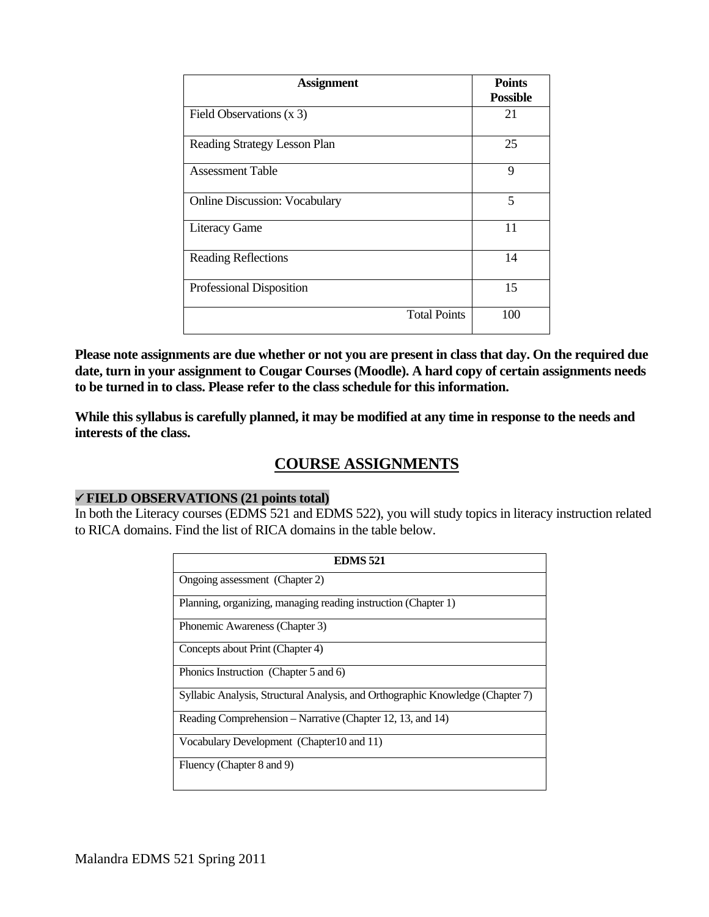| <b>Assignment</b>                    | <b>Points</b><br><b>Possible</b> |
|--------------------------------------|----------------------------------|
| Field Observations (x 3)             | 21                               |
| Reading Strategy Lesson Plan         | 25                               |
| <b>Assessment Table</b>              | 9                                |
| <b>Online Discussion: Vocabulary</b> | 5                                |
| <b>Literacy Game</b>                 | 11                               |
| <b>Reading Reflections</b>           | 14                               |
| Professional Disposition             | 15                               |
| <b>Total Points</b>                  | 100                              |

**Please note assignments are due whether or not you are present in class that day. On the required due date, turn in your assignment to Cougar Courses (Moodle). A hard copy of certain assignments needs to be turned in to class. Please refer to the class schedule for this information.** 

**While this syllabus is carefully planned, it may be modified at any time in response to the needs and interests of the class.** 

# **COURSE ASSIGNMENTS**

## **FIELD OBSERVATIONS (21 points total)**

In both the Literacy courses (EDMS 521 and EDMS 522), you will study topics in literacy instruction related to RICA domains. Find the list of RICA domains in the table below.

| <b>EDMS 521</b>                                                                |  |  |
|--------------------------------------------------------------------------------|--|--|
| Ongoing assessment (Chapter 2)                                                 |  |  |
| Planning, organizing, managing reading instruction (Chapter 1)                 |  |  |
| Phonemic Awareness (Chapter 3)                                                 |  |  |
| Concepts about Print (Chapter 4)                                               |  |  |
| Phonics Instruction (Chapter 5 and 6)                                          |  |  |
| Syllabic Analysis, Structural Analysis, and Orthographic Knowledge (Chapter 7) |  |  |
| Reading Comprehension – Narrative (Chapter 12, 13, and 14)                     |  |  |
| Vocabulary Development (Chapter 10 and 11)                                     |  |  |
| Fluency (Chapter 8 and 9)                                                      |  |  |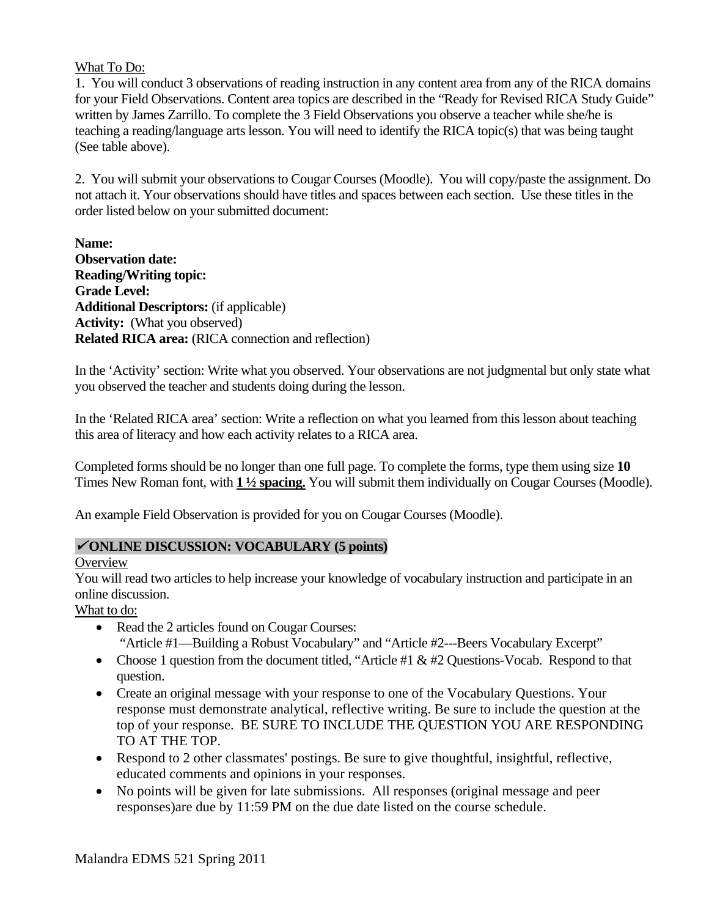### What To Do:

(See table above). 1. You will conduct 3 observations of reading instruction in any content area from any of the RICA domains for your Field Observations. Content area topics are described in the "Ready for Revised RICA Study Guide" written by James Zarrillo. To complete the 3 Field Observations you observe a teacher while she/he is teaching a reading/language arts lesson. You will need to identify the RICA topic(s) that was being taught

2. You will submit your observations to Cougar Courses (Moodle). You will copy/paste the assignment. Do not attach it. Your observations should have titles and spaces between each section. Use these titles in the order listed below on your submitted document:

**Name: Observation date: Reading/Writing topic: Grade Level: Additional Descriptors:** (if applicable) **Activity:** (What you observed) **Related RICA area:** (RICA connection and reflection)

In the 'Activity' section: Write what you observed. Your observations are not judgmental but only state what you observed the teacher and students doing during the lesson.

In the 'Related RICA area' section: Write a reflection on what you learned from this lesson about teaching this area of literacy and how each activity relates to a RICA area.

Completed forms should be no longer than one full page. To complete the forms, type them using size **10**  Times New Roman font, with **1 ½ spacing.** You will submit them individually on Cougar Courses (Moodle).

An example Field Observation is provided for you on Cougar Courses (Moodle).

## **ONLINE DISCUSSION: VOCABULARY (5 points)**

### **Overview**

You will read two articles to help increase your knowledge of vocabulary instruction and participate in an online discussion.

What to do:

- Read the 2 articles found on Cougar Courses: "Article #1—Building a Robust Vocabulary" and "Article #2---Beers Vocabulary Excerpt"
- Choose 1 question from the document titled, "Article #1 & #2 Questions-Vocab. Respond to that question.
- Create an original message with your response to one of the Vocabulary Questions. Your response must demonstrate analytical, reflective writing. Be sure to include the question at the top of your response. BE SURE TO INCLUDE THE QUESTION YOU ARE RESPONDING TO AT THE TOP.
- Respond to 2 other classmates' postings. Be sure to give thoughtful, insightful, reflective, educated comments and opinions in your responses.
- No points will be given for late submissions. All responses (original message and peer responses)are due by 11:59 PM on the due date listed on the course schedule.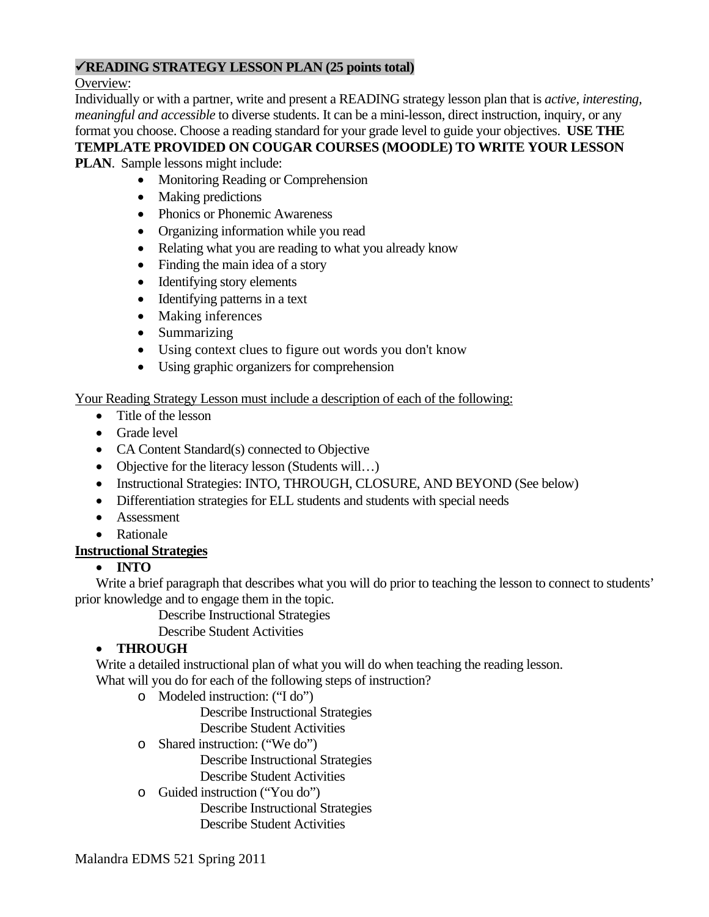## **READING STRATEGY LESSON PLAN (25 points total)**

Overview:

Individually or with a partner, write and present a READING strategy lesson plan that is *active, interesting, meaningful and accessible* to diverse students. It can be a mini-lesson, direct instruction, inquiry, or any format you choose. Choose a reading standard for your grade level to guide your objectives. **USE THE TEMPLATE PROVIDED ON COUGAR COURSES (MOODLE) TO WRITE YOUR LESSON** 

**PLAN**. Sample lessons might include:

- Monitoring Reading or Comprehension
- Making predictions
- Phonics or Phonemic Awareness
- Organizing information while you read
- Relating what you are reading to what you already know
- Finding the main idea of a story
- Identifying story elements
- Identifying patterns in a text
- Making inferences
- Summarizing
- Using context clues to figure out words you don't know
- Using graphic organizers for comprehension

## Your Reading Strategy Lesson must include a description of each of the following:

- Title of the lesson
- Grade level
- CA Content Standard(s) connected to Objective
- Objective for the literacy lesson (Students will...)
- Instructional Strategies: INTO, THROUGH, CLOSURE, AND BEYOND (See below)
- Differentiation strategies for ELL students and students with special needs
- Assessment
- Rationale

# **Instructional Strategies**

# **INTO**

Write a brief paragraph that describes what you will do prior to teaching the lesson to connect to students' prior knowledge and to engage them in the topic.

Describe Instructional Strategies

# Describe Student Activities

# **THROUGH**

Write a detailed instructional plan of what you will do when teaching the reading lesson. What will you do for each of the following steps of instruction?

o Modeled instruction: ("I do")

Describe Instructional Strategies

Describe Student Activities

- o Shared instruction: ("We do")
	- Describe Instructional Strategies Describe Student Activities
- o Guided instruction ("You do")

Describe Instructional Strategies Describe Student Activities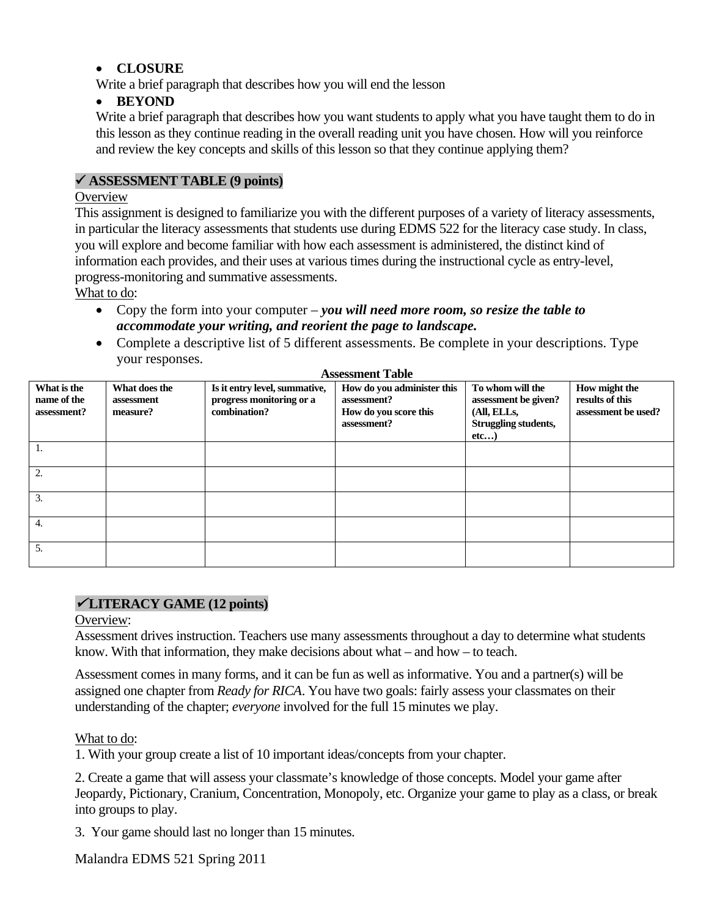## **CLOSURE**

Write a brief paragraph that describes how you will end the lesson

## **BEYOND**

Write a brief paragraph that describes how you want students to apply what you have taught them to do in this lesson as they continue reading in the overall reading unit you have chosen. How will you reinforce and review the key concepts and skills of this lesson so that they continue applying them?

## **ASSESSMENT TABLE (9 points)**

## **Overview**

This assignment is designed to familiarize you with the different purposes of a variety of literacy assessments, in particular the literacy assessments that students use during EDMS 522 for the literacy case study. In class, you will explore and become familiar with how each assessment is administered, the distinct kind of information each provides, and their uses at various times during the instructional cycle as entry-level, progress-monitoring and summative assessments.

What to do:

- Copy the form into your computer *you will need more room, so resize the table to accommodate your writing, and reorient the page to landscape.*
- Complete a descriptive list of 5 different assessments. Be complete in your descriptions. Type your responses. **Assessment Table**

| What is the<br>name of the<br>assessment? | What does the<br>assessment<br>measure? | Is it entry level, summative,<br>progress monitoring or a<br>combination? | How do you administer this<br>assessment?<br>How do you score this<br>assessment? | To whom will the<br>assessment be given?<br>(All, ELLs,<br>Struggling students,<br>etc | How might the<br>results of this<br>assessment be used? |
|-------------------------------------------|-----------------------------------------|---------------------------------------------------------------------------|-----------------------------------------------------------------------------------|----------------------------------------------------------------------------------------|---------------------------------------------------------|
|                                           |                                         |                                                                           |                                                                                   |                                                                                        |                                                         |
| 2.                                        |                                         |                                                                           |                                                                                   |                                                                                        |                                                         |
| 3.                                        |                                         |                                                                           |                                                                                   |                                                                                        |                                                         |
| 4.                                        |                                         |                                                                           |                                                                                   |                                                                                        |                                                         |
| 5.                                        |                                         |                                                                           |                                                                                   |                                                                                        |                                                         |

## **LITERACY GAME (12 points)**

## Overview:

Assessment drives instruction. Teachers use many assessments throughout a day to determine what students know. With that information, they make decisions about what – and how – to teach.

Assessment comes in many forms, and it can be fun as well as informative. You and a partner(s) will be assigned one chapter from *Ready for RICA*. You have two goals: fairly assess your classmates on their understanding of the chapter; *everyone* involved for the full 15 minutes we play.

## What to do:

1. With your group create a list of 10 important ideas/concepts from your chapter.

2. Create a game that will assess your classmate's knowledge of those concepts. Model your game after Jeopardy, Pictionary, Cranium, Concentration, Monopoly, etc. Organize your game to play as a class, or break into groups to play.

3. Your game should last no longer than 15 minutes.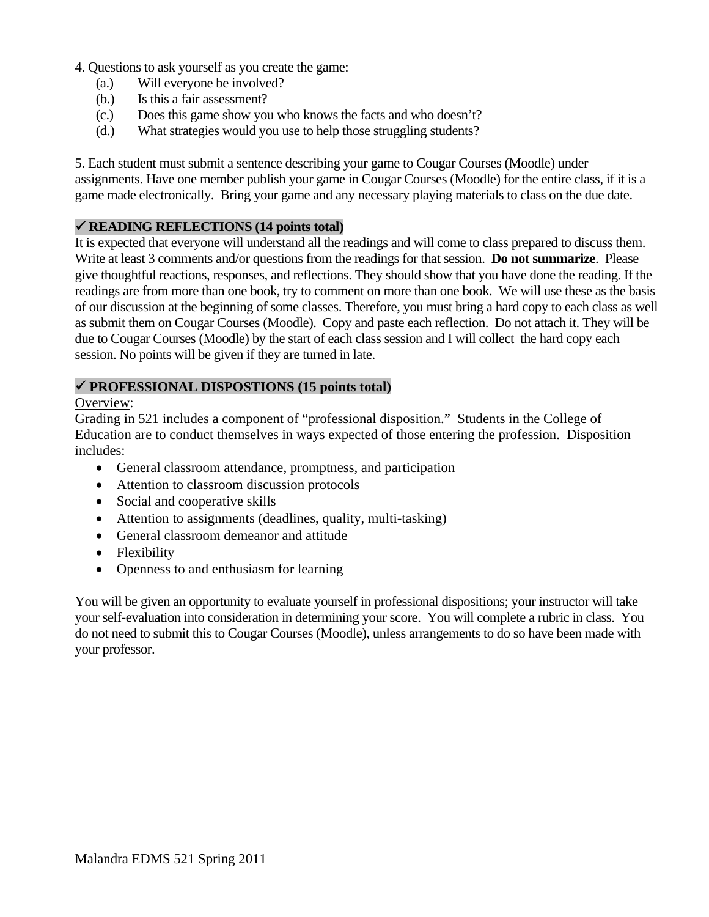- 4. Questions to ask yourself as you create the game:
	- (a.) Will everyone be involved?
	- Is this a fair assessment?
	- (b.) Is this a fair assessment? (c.) Does this game show you who knows the facts and who doesn't?
	- (d.) What strategies would you use to help those struggling students?

5. Each student must submit a sentence describing your game to Cougar Courses (Moodle) under assignments. Have one member publish your game in Cougar Courses (Moodle) for the entire class, if it is a game made electronically. Bring your game and any necessary playing materials to class on the due date.

### **READING REFLECTIONS (14 points total)**

It is expected that everyone will understand all the readings and will come to class prepared to discuss them. Write at least 3 comments and/or questions from the readings for that session. **Do not summarize**. Please give thoughtful reactions, responses, and reflections. They should show that you have done the reading. If the readings are from more than one book, try to comment on more than one book. We will use these as the basis of our discussion at the beginning of some classes. Therefore, you must bring a hard copy to each class as well as submit them on Cougar Courses (Moodle). Copy and paste each reflection. Do not attach it. They will be due to Cougar Courses (Moodle) by the start of each class session and I will collect the hard copy each session. No points will be given if they are turned in late.

### **PROFESSIONAL DISPOSTIONS (15 points total)**

### Overview:

Grading in 521 includes a component of "professional disposition." Students in the College of Education are to conduct themselves in ways expected of those entering the profession. Disposition includes:

- General classroom attendance, promptness, and participation
- Attention to classroom discussion protocols
- Social and cooperative skills
- Attention to assignments (deadlines, quality, multi-tasking)
- General classroom demeanor and attitude
- Flexibility
- Openness to and enthusiasm for learning

You will be given an opportunity to evaluate yourself in professional dispositions; your instructor will take your self-evaluation into consideration in determining your score. You will complete a rubric in class. You do not need to submit this to Cougar Courses (Moodle), unless arrangements to do so have been made with your professor.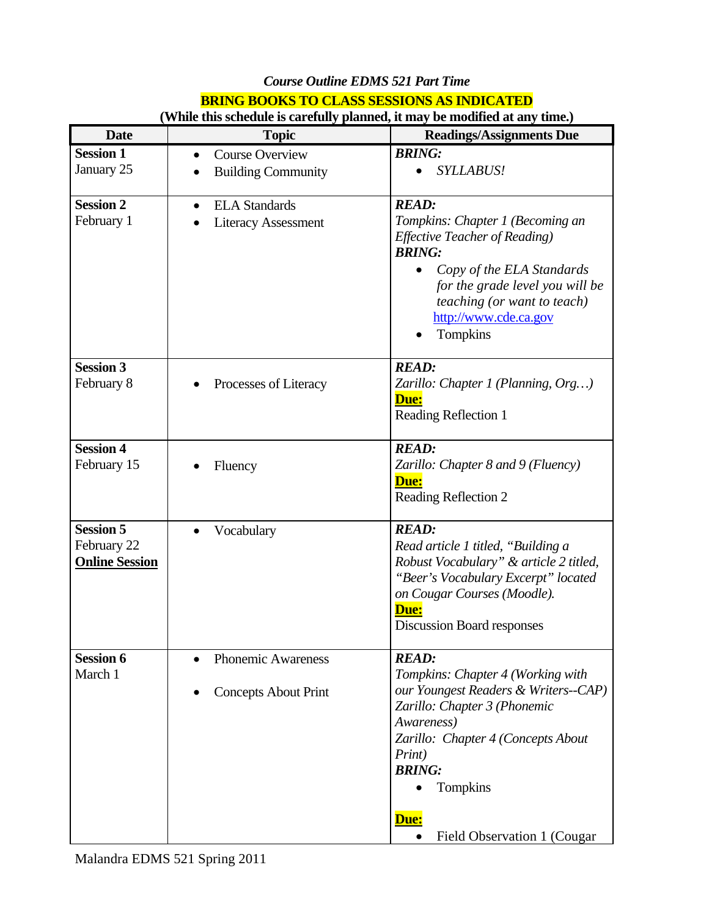## *Course Outline EDMS 521 Part Time*  **BRING BOOKS TO CLASS SESSIONS AS INDICATED**

| <b>Date</b>                     | <b>Topic</b>                      | <b>Readings/Assignments Due</b>                                      |
|---------------------------------|-----------------------------------|----------------------------------------------------------------------|
| <b>Session 1</b>                | <b>Course Overview</b>            | <b>BRING:</b>                                                        |
| January 25                      | <b>Building Community</b>         | <b>SYLLABUS!</b>                                                     |
| <b>Session 2</b>                | <b>ELA</b> Standards<br>$\bullet$ | <b>READ:</b>                                                         |
| February 1                      | <b>Literacy Assessment</b>        | Tompkins: Chapter 1 (Becoming an                                     |
|                                 |                                   | <b>Effective Teacher of Reading)</b><br><b>BRING:</b>                |
|                                 |                                   | Copy of the ELA Standards<br>$\bullet$                               |
|                                 |                                   | for the grade level you will be                                      |
|                                 |                                   | teaching (or want to teach)                                          |
|                                 |                                   | http://www.cde.ca.gov                                                |
|                                 |                                   | Tompkins                                                             |
| <b>Session 3</b>                |                                   | <b>READ:</b>                                                         |
| February 8                      | Processes of Literacy             | Zarillo: Chapter 1 (Planning, Org)                                   |
|                                 |                                   | <u>Due:</u><br><b>Reading Reflection 1</b>                           |
|                                 |                                   |                                                                      |
| <b>Session 4</b>                |                                   | <b>READ:</b>                                                         |
| February 15                     | Fluency                           | Zarillo: Chapter 8 and 9 (Fluency)<br>Due:                           |
|                                 |                                   | Reading Reflection 2                                                 |
|                                 |                                   |                                                                      |
| <b>Session 5</b><br>February 22 | Vocabulary                        | <b>READ:</b><br>Read article 1 titled, "Building a                   |
| <b>Online Session</b>           |                                   | Robust Vocabulary" & article 2 titled,                               |
|                                 |                                   | "Beer's Vocabulary Excerpt" located                                  |
|                                 |                                   | on Cougar Courses (Moodle).                                          |
|                                 |                                   | Due:                                                                 |
|                                 |                                   | <b>Discussion Board responses</b>                                    |
| <b>Session 6</b>                | <b>Phonemic Awareness</b>         | <b>READ:</b>                                                         |
| March 1                         |                                   | Tompkins: Chapter 4 (Working with                                    |
|                                 | <b>Concepts About Print</b>       | our Youngest Readers & Writers--CAP)<br>Zarillo: Chapter 3 (Phonemic |
|                                 |                                   | Awareness)                                                           |
|                                 |                                   | Zarillo: Chapter 4 (Concepts About                                   |
|                                 |                                   | Print)                                                               |
|                                 |                                   | <b>BRING:</b>                                                        |
|                                 |                                   | Tompkins                                                             |
|                                 |                                   | Due:                                                                 |
|                                 |                                   | Field Observation 1 (Cougar                                          |

## **(While this schedule is carefully planned, it may be modified at any time.)**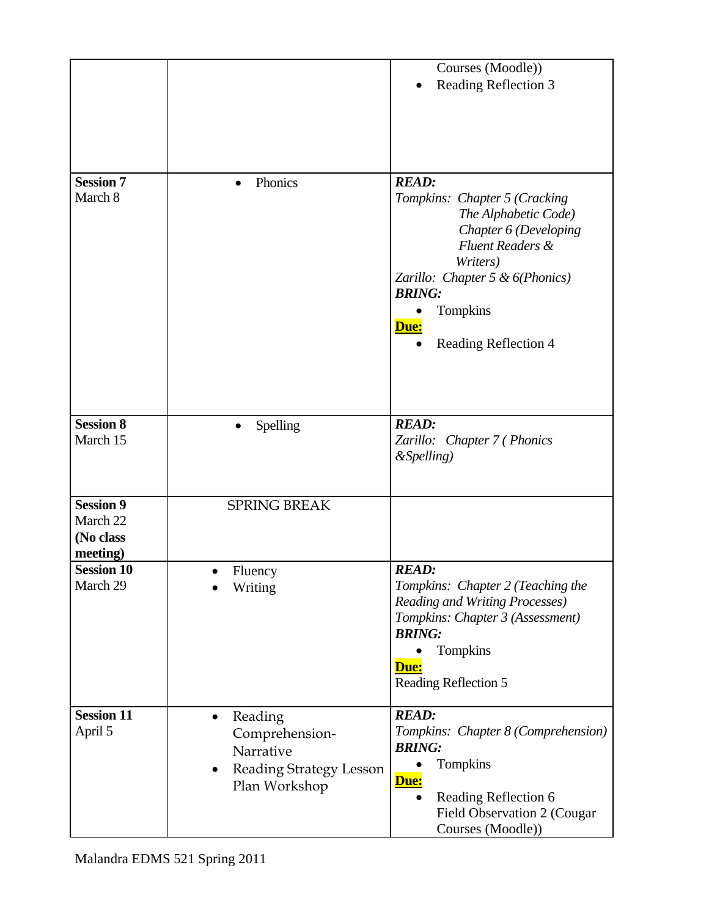|                                                       |                                                                                                              | Courses (Moodle))                                                                                                                                                                                                                           |
|-------------------------------------------------------|--------------------------------------------------------------------------------------------------------------|---------------------------------------------------------------------------------------------------------------------------------------------------------------------------------------------------------------------------------------------|
|                                                       |                                                                                                              | Reading Reflection 3                                                                                                                                                                                                                        |
| <b>Session 7</b><br>March 8                           | Phonics                                                                                                      | <b>READ:</b><br>Tompkins: Chapter 5 (Cracking<br>The Alphabetic Code)<br>Chapter 6 (Developing<br><b>Fluent Readers &amp;</b><br>Writers)<br>Zarillo: Chapter 5 & $6(Phonics)$<br><b>BRING:</b><br>Tompkins<br>Due:<br>Reading Reflection 4 |
| <b>Session 8</b><br>March 15                          | Spelling<br>$\bullet$                                                                                        | <b>READ:</b><br>Zarillo: Chapter 7 (Phonics<br>&Spelling)                                                                                                                                                                                   |
| <b>Session 9</b><br>March 22<br>(No class<br>meeting) | <b>SPRING BREAK</b>                                                                                          |                                                                                                                                                                                                                                             |
| <b>Session 10</b><br>March 29                         | Fluency<br>Writing                                                                                           | <b>READ:</b><br>Tompkins: Chapter 2 (Teaching the<br>Reading and Writing Processes)<br>Tompkins: Chapter 3 (Assessment)<br><b>BRING:</b><br>Tompkins<br>Due:<br>Reading Reflection 5                                                        |
| <b>Session 11</b><br>April 5                          | Reading<br>$\bullet$<br>Comprehension-<br>Narrative<br>Reading Strategy Lesson<br>$\bullet$<br>Plan Workshop | <b>READ:</b><br>Tompkins: Chapter 8 (Comprehension)<br><b>BRING:</b><br>Tompkins<br>Due:<br>Reading Reflection 6<br>$\bullet$<br>Field Observation 2 (Cougar<br>Courses (Moodle))                                                           |